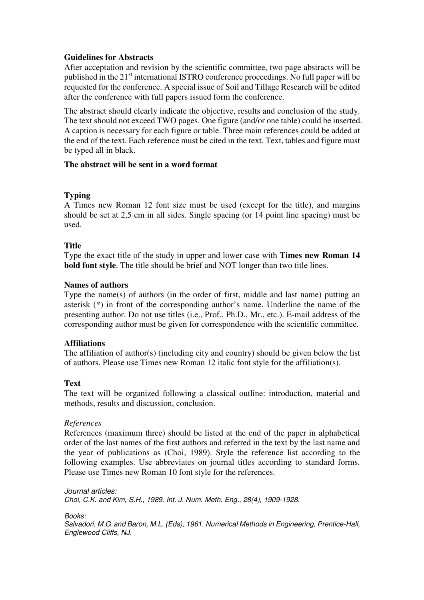# **Guidelines for Abstracts**

After acceptation and revision by the scientific committee, two page abstracts will be published in the 21<sup>st</sup> international ISTRO conference proceedings. No full paper will be requested for the conference. A special issue of Soil and Tillage Research will be edited after the conference with full papers issued form the conference.

The abstract should clearly indicate the objective, results and conclusion of the study. The text should not exceed TWO pages. One figure (and/or one table) could be inserted. A caption is necessary for each figure or table. Three main references could be added at the end of the text. Each reference must be cited in the text. Text, tables and figure must be typed all in black.

# **The abstract will be sent in a word format**

# **Typing**

A Times new Roman 12 font size must be used (except for the title), and margins should be set at 2,5 cm in all sides. Single spacing (or 14 point line spacing) must be used.

# **Title**

Type the exact title of the study in upper and lower case with **Times new Roman 14 bold font style**. The title should be brief and NOT longer than two title lines.

#### **Names of authors**

Type the name(s) of authors (in the order of first, middle and last name) putting an asterisk (\*) in front of the corresponding author's name. Underline the name of the presenting author. Do not use titles (i.e., Prof., Ph.D., Mr., etc.). E-mail address of the corresponding author must be given for correspondence with the scientific committee.

#### **Affiliations**

The affiliation of author(s) (including city and country) should be given below the list of authors. Please use Times new Roman 12 italic font style for the affiliation(s).

#### **Text**

The text will be organized following a classical outline: introduction, material and methods, results and discussion, conclusion.

#### *References*

References (maximum three) should be listed at the end of the paper in alphabetical order of the last names of the first authors and referred in the text by the last name and the year of publications as (Choi, 1989). Style the reference list according to the following examples. Use abbreviates on journal titles according to standard forms. Please use Times new Roman 10 font style for the references.

Journal articles: Choi, C.K. and Kim, S.H., 1989. Int. J. Num. Meth. Eng., 28(4), 1909-1928.

Books:

Salvadori, M.G. and Baron, M.L. (Eds), 1961. Numerical Methods in Engineering, Prentice-Hall, Englewood Cliffs, NJ.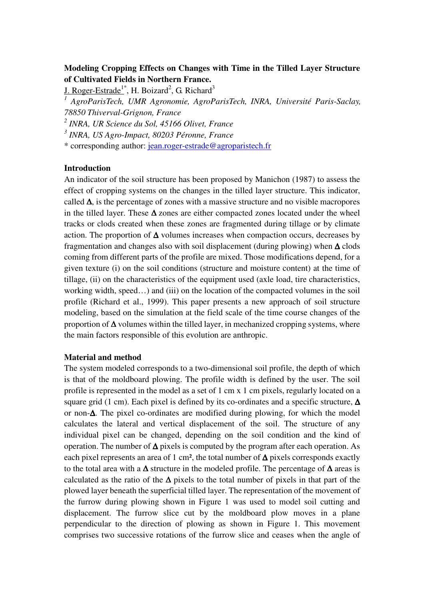# **Modeling Cropping Effects on Changes with Time in the Tilled Layer Structure of Cultivated Fields in Northern France.**

J. Roger-Estrade<sup>1\*</sup>, H. Boizard<sup>2</sup>, G. Richard<sup>3</sup>

<sup>1</sup> AgroParisTech, UMR Agronomie, AgroParisTech, INRA, Université Paris-Saclay, *78850 Thiverval-Grignon, France* 

*2 INRA, UR Science du Sol, 45166 Olivet, France* 

*3 INRA, US Agro-Impact, 80203 Péronne, France* 

\* corresponding author: jean.roger-estrade@agroparistech.fr

## **Introduction**

An indicator of the soil structure has been proposed by Manichon (1987) to assess the effect of cropping systems on the changes in the tilled layer structure. This indicator, called  $\Delta$ , is the percentage of zones with a massive structure and no visible macropores in the tilled layer. These  $\Delta$  zones are either compacted zones located under the wheel tracks or clods created when these zones are fragmented during tillage or by climate action. The proportion of  $\Delta$  volumes increases when compaction occurs, decreases by fragmentation and changes also with soil displacement (during plowing) when ∆ clods coming from different parts of the profile are mixed. Those modifications depend, for a given texture (i) on the soil conditions (structure and moisture content) at the time of tillage, (ii) on the characteristics of the equipment used (axle load, tire characteristics, working width, speed…) and (iii) on the location of the compacted volumes in the soil profile (Richard et al., 1999). This paper presents a new approach of soil structure modeling, based on the simulation at the field scale of the time course changes of the proportion of  $\Delta$  volumes within the tilled layer, in mechanized cropping systems, where the main factors responsible of this evolution are anthropic.

## **Material and method**

The system modeled corresponds to a two-dimensional soil profile, the depth of which is that of the moldboard plowing. The profile width is defined by the user. The soil profile is represented in the model as a set of 1 cm x 1 cm pixels, regularly located on a square grid (1 cm). Each pixel is defined by its co-ordinates and a specific structure,  $\Delta$ or non-∆. The pixel co-ordinates are modified during plowing, for which the model calculates the lateral and vertical displacement of the soil. The structure of any individual pixel can be changed, depending on the soil condition and the kind of operation. The number of ∆ pixels is computed by the program after each operation. As each pixel represents an area of 1 cm², the total number of  $\Delta$  pixels corresponds exactly to the total area with a ∆ structure in the modeled profile. The percentage of ∆ areas is calculated as the ratio of the  $\Delta$  pixels to the total number of pixels in that part of the plowed layer beneath the superficial tilled layer. The representation of the movement of the furrow during plowing shown in Figure 1 was used to model soil cutting and displacement. The furrow slice cut by the moldboard plow moves in a plane perpendicular to the direction of plowing as shown in Figure 1. This movement comprises two successive rotations of the furrow slice and ceases when the angle of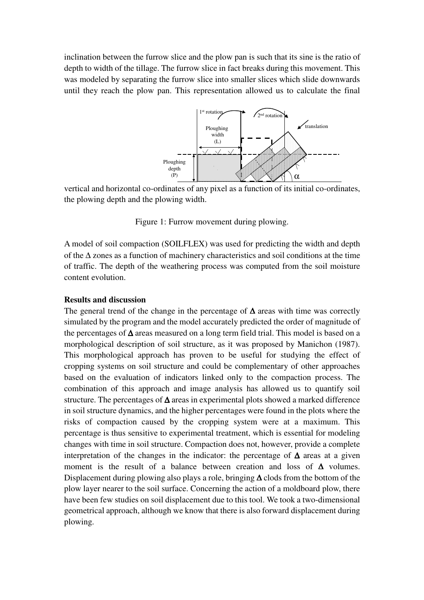inclination between the furrow slice and the plow pan is such that its sine is the ratio of depth to width of the tillage. The furrow slice in fact breaks during this movement. This was modeled by separating the furrow slice into smaller slices which slide downwards until they reach the plow pan. This representation allowed us to calculate the final



vertical and horizontal co-ordinates of any pixel as a function of its initial co-ordinates, the plowing depth and the plowing width.

Figure 1: Furrow movement during plowing.

A model of soil compaction (SOILFLEX) was used for predicting the width and depth of the ∆ zones as a function of machinery characteristics and soil conditions at the time of traffic. The depth of the weathering process was computed from the soil moisture content evolution.

#### **Results and discussion**

The general trend of the change in the percentage of  $\Delta$  areas with time was correctly simulated by the program and the model accurately predicted the order of magnitude of the percentages of ∆ areas measured on a long term field trial. This model is based on a morphological description of soil structure, as it was proposed by Manichon (1987). This morphological approach has proven to be useful for studying the effect of cropping systems on soil structure and could be complementary of other approaches based on the evaluation of indicators linked only to the compaction process. The combination of this approach and image analysis has allowed us to quantify soil structure. The percentages of ∆ areas in experimental plots showed a marked difference in soil structure dynamics, and the higher percentages were found in the plots where the risks of compaction caused by the cropping system were at a maximum. This percentage is thus sensitive to experimental treatment, which is essential for modeling changes with time in soil structure. Compaction does not, however, provide a complete interpretation of the changes in the indicator: the percentage of ∆ areas at a given moment is the result of a balance between creation and loss of  $\Delta$  volumes. Displacement during plowing also plays a role, bringing ∆ clods from the bottom of the plow layer nearer to the soil surface. Concerning the action of a moldboard plow, there have been few studies on soil displacement due to this tool. We took a two-dimensional geometrical approach, although we know that there is also forward displacement during plowing.